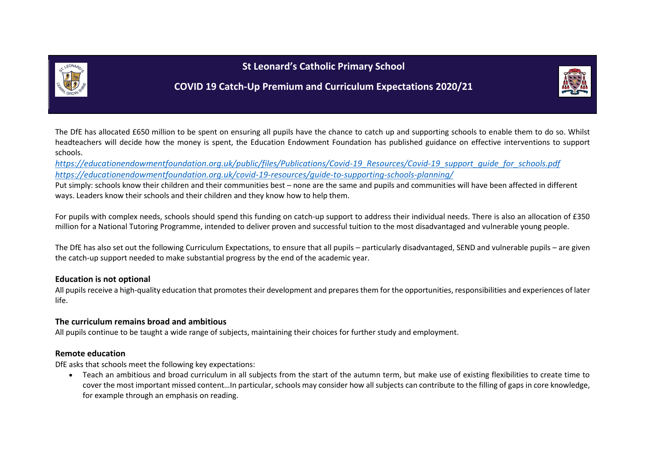



# **COVID 19 Catch-Up Premium and Curriculum Expectations 2020/21**

The DfE has allocated £650 million to be spent on ensuring all pupils have the chance to catch up and supporting schools to enable them to do so. Whilst headteachers will decide how the money is spent, the Education Endowment Foundation has published guidance on effective interventions to support schools.

*[https://educationendowmentfoundation.org.uk/public/files/Publications/Covid-19\\_Resources/Covid-19\\_support\\_guide\\_for\\_schools.pdf](https://educationendowmentfoundation.org.uk/public/files/Publications/Covid-19_Resources/Covid-19_support_guide_for_schools.pdf) <https://educationendowmentfoundation.org.uk/covid-19-resources/guide-to-supporting-schools-planning/>*

Put simply: schools know their children and their communities best – none are the same and pupils and communities will have been affected in different ways. Leaders know their schools and their children and they know how to help them.

For pupils with complex needs, schools should spend this funding on catch-up support to address their individual needs. There is also an allocation of £350 million for a National Tutoring Programme, intended to deliver proven and successful tuition to the most disadvantaged and vulnerable young people.

The DfE has also set out the following Curriculum Expectations, to ensure that all pupils – particularly disadvantaged, SEND and vulnerable pupils – are given the catch-up support needed to make substantial progress by the end of the academic year.

## **Education is not optional**

All pupils receive a high-quality education that promotes their development and prepares them for the opportunities, responsibilities and experiences of later life.

## **The curriculum remains broad and ambitious**

All pupils continue to be taught a wide range of subjects, maintaining their choices for further study and employment.

### **Remote education**

DfE asks that schools meet the following key expectations:

• Teach an ambitious and broad curriculum in all subjects from the start of the autumn term, but make use of existing flexibilities to create time to cover the most important missed content…In particular, schools may consider how all subjects can contribute to the filling of gaps in core knowledge, for example through an emphasis on reading.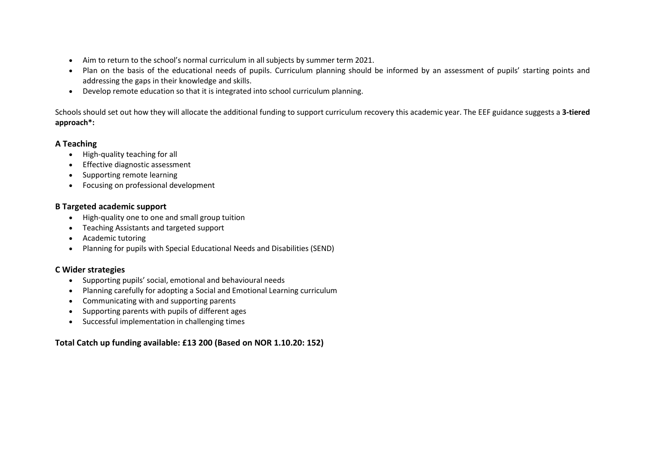- Aim to return to the school's normal curriculum in all subjects by summer term 2021.
- Plan on the basis of the educational needs of pupils. Curriculum planning should be informed by an assessment of pupils' starting points and addressing the gaps in their knowledge and skills.
- Develop remote education so that it is integrated into school curriculum planning.

Schools should set out how they will allocate the additional funding to support curriculum recovery this academic year. The EEF guidance suggests a **3-tiered approach\*:**

### **A Teaching**

- High-quality teaching for all
- Effective diagnostic assessment
- Supporting remote learning
- Focusing on professional development

#### **B Targeted academic support**

- High-quality one to one and small group tuition
- Teaching Assistants and targeted support
- Academic tutoring
- Planning for pupils with Special Educational Needs and Disabilities (SEND)

### **C Wider strategies**

- Supporting pupils' social, emotional and behavioural needs
- Planning carefully for adopting a Social and Emotional Learning curriculum
- Communicating with and supporting parents
- Supporting parents with pupils of different ages
- Successful implementation in challenging times

### **Total Catch up funding available: £13 200 (Based on NOR 1.10.20: 152)**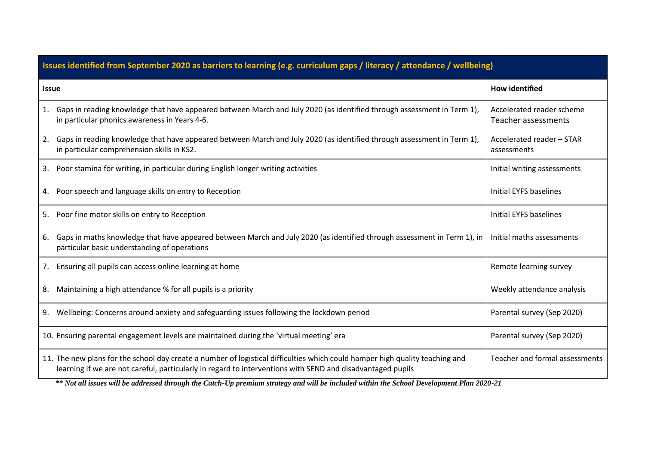| Issues identified from September 2020 as barriers to learning (e.g. curriculum gaps / literacy / attendance / wellbeing)                                                                                                                                                                                                                                                                |                                                  |  |  |  |  |
|-----------------------------------------------------------------------------------------------------------------------------------------------------------------------------------------------------------------------------------------------------------------------------------------------------------------------------------------------------------------------------------------|--------------------------------------------------|--|--|--|--|
| <b>Issue</b>                                                                                                                                                                                                                                                                                                                                                                            | <b>How identified</b>                            |  |  |  |  |
| 1. Gaps in reading knowledge that have appeared between March and July 2020 (as identified through assessment in Term 1),<br>in particular phonics awareness in Years 4-6.                                                                                                                                                                                                              | Accelerated reader scheme<br>Teacher assessments |  |  |  |  |
| Gaps in reading knowledge that have appeared between March and July 2020 (as identified through assessment in Term 1),<br>2.<br>in particular comprehension skills in KS2.                                                                                                                                                                                                              | Accelerated reader - STAR<br>assessments         |  |  |  |  |
| Poor stamina for writing, in particular during English longer writing activities<br>3.                                                                                                                                                                                                                                                                                                  | Initial writing assessments                      |  |  |  |  |
| Poor speech and language skills on entry to Reception<br>4.                                                                                                                                                                                                                                                                                                                             | Initial EYFS baselines                           |  |  |  |  |
| Poor fine motor skills on entry to Reception<br>5.                                                                                                                                                                                                                                                                                                                                      | Initial EYFS baselines                           |  |  |  |  |
| Gaps in maths knowledge that have appeared between March and July 2020 (as identified through assessment in Term 1), in<br>6.<br>particular basic understanding of operations                                                                                                                                                                                                           | Initial maths assessments                        |  |  |  |  |
| Ensuring all pupils can access online learning at home<br>7.                                                                                                                                                                                                                                                                                                                            | Remote learning survey                           |  |  |  |  |
| Maintaining a high attendance % for all pupils is a priority<br>8.                                                                                                                                                                                                                                                                                                                      | Weekly attendance analysis                       |  |  |  |  |
| Wellbeing: Concerns around anxiety and safeguarding issues following the lockdown period<br>9.                                                                                                                                                                                                                                                                                          | Parental survey (Sep 2020)                       |  |  |  |  |
| 10. Ensuring parental engagement levels are maintained during the 'virtual meeting' era                                                                                                                                                                                                                                                                                                 | Parental survey (Sep 2020)                       |  |  |  |  |
| 11. The new plans for the school day create a number of logistical difficulties which could hamper high quality teaching and<br>learning if we are not careful, particularly in regard to interventions with SEND and disadvantaged pupils<br>** Not all issues will be addressed through the Cateb Un premium strategy and will be included within the Sebeel Development Plan 2020 21 | Teacher and formal assessments                   |  |  |  |  |

*\*\* Not all issues will be addressed through the Catch-Up premium strategy and will be included within the School Development Plan 2020-21*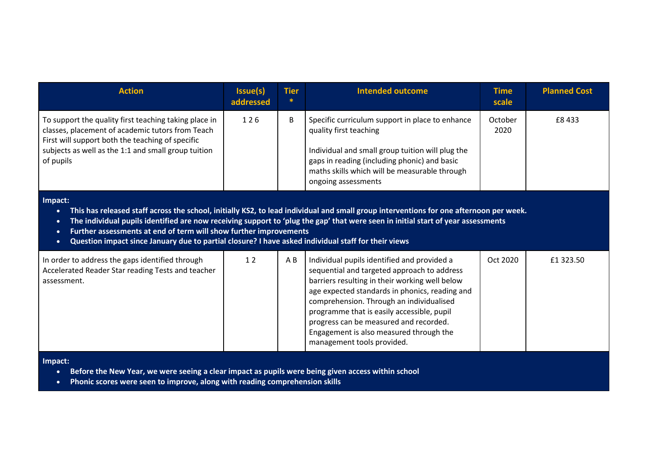| <b>Action</b>                                                                                                                                                                                                                                                                                                                                                                                                                                                                                                         | Issue(s)<br>addressed | <b>Tier</b><br>∗ | <b>Intended outcome</b>                                                                                                                                                                                                                                                                                                                                                                                     | <b>Time</b><br>scale | <b>Planned Cost</b> |  |  |  |
|-----------------------------------------------------------------------------------------------------------------------------------------------------------------------------------------------------------------------------------------------------------------------------------------------------------------------------------------------------------------------------------------------------------------------------------------------------------------------------------------------------------------------|-----------------------|------------------|-------------------------------------------------------------------------------------------------------------------------------------------------------------------------------------------------------------------------------------------------------------------------------------------------------------------------------------------------------------------------------------------------------------|----------------------|---------------------|--|--|--|
| To support the quality first teaching taking place in<br>classes, placement of academic tutors from Teach<br>First will support both the teaching of specific<br>subjects as well as the 1:1 and small group tuition<br>of pupils                                                                                                                                                                                                                                                                                     | 126                   | B                | Specific curriculum support in place to enhance<br>quality first teaching<br>Individual and small group tuition will plug the<br>gaps in reading (including phonic) and basic<br>maths skills which will be measurable through<br>ongoing assessments                                                                                                                                                       | October<br>2020      | £8433               |  |  |  |
| Impact:<br>This has released staff across the school, initially KS2, to lead individual and small group interventions for one afternoon per week.<br>$\bullet$<br>The individual pupils identified are now receiving support to 'plug the gap' that were seen in initial start of year assessments<br>$\bullet$<br>Further assessments at end of term will show further improvements<br>$\bullet$<br>Question impact since January due to partial closure? I have asked individual staff for their views<br>$\bullet$ |                       |                  |                                                                                                                                                                                                                                                                                                                                                                                                             |                      |                     |  |  |  |
| In order to address the gaps identified through<br>Accelerated Reader Star reading Tests and teacher<br>assessment.                                                                                                                                                                                                                                                                                                                                                                                                   | 12                    | A B              | Individual pupils identified and provided a<br>sequential and targeted approach to address<br>barriers resulting in their working well below<br>age expected standards in phonics, reading and<br>comprehension. Through an individualised<br>programme that is easily accessible, pupil<br>progress can be measured and recorded.<br>Engagement is also measured through the<br>management tools provided. | Oct 2020             | £1 323.50           |  |  |  |

**Impact:**

- **Before the New Year, we were seeing a clear impact as pupils were being given access within school**
- **Phonic scores were seen to improve, along with reading comprehension skills**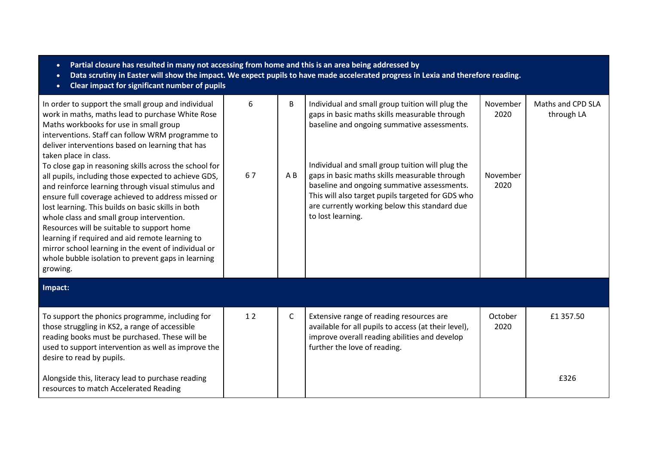| Partial closure has resulted in many not accessing from home and this is an area being addressed by<br>$\bullet$<br>Data scrutiny in Easter will show the impact. We expect pupils to have made accelerated progress in Lexia and therefore reading.<br>$\bullet$<br>Clear impact for significant number of pupils<br>$\bullet$                                                                                                                                                                                                                          |    |              |                                                                                                                                                                                                                                                                             |                  |                                 |  |  |
|----------------------------------------------------------------------------------------------------------------------------------------------------------------------------------------------------------------------------------------------------------------------------------------------------------------------------------------------------------------------------------------------------------------------------------------------------------------------------------------------------------------------------------------------------------|----|--------------|-----------------------------------------------------------------------------------------------------------------------------------------------------------------------------------------------------------------------------------------------------------------------------|------------------|---------------------------------|--|--|
| In order to support the small group and individual<br>work in maths, maths lead to purchase White Rose<br>Maths workbooks for use in small group<br>interventions. Staff can follow WRM programme to<br>deliver interventions based on learning that has<br>taken place in class.                                                                                                                                                                                                                                                                        | 6  | B            | Individual and small group tuition will plug the<br>gaps in basic maths skills measurable through<br>baseline and ongoing summative assessments.                                                                                                                            | November<br>2020 | Maths and CPD SLA<br>through LA |  |  |
| To close gap in reasoning skills across the school for<br>all pupils, including those expected to achieve GDS,<br>and reinforce learning through visual stimulus and<br>ensure full coverage achieved to address missed or<br>lost learning. This builds on basic skills in both<br>whole class and small group intervention.<br>Resources will be suitable to support home<br>learning if required and aid remote learning to<br>mirror school learning in the event of individual or<br>whole bubble isolation to prevent gaps in learning<br>growing. | 67 | AB           | Individual and small group tuition will plug the<br>gaps in basic maths skills measurable through<br>baseline and ongoing summative assessments.<br>This will also target pupils targeted for GDS who<br>are currently working below this standard due<br>to lost learning. | November<br>2020 |                                 |  |  |
| Impact:                                                                                                                                                                                                                                                                                                                                                                                                                                                                                                                                                  |    |              |                                                                                                                                                                                                                                                                             |                  |                                 |  |  |
| To support the phonics programme, including for<br>those struggling in KS2, a range of accessible<br>reading books must be purchased. These will be<br>used to support intervention as well as improve the<br>desire to read by pupils.                                                                                                                                                                                                                                                                                                                  | 12 | $\mathsf{C}$ | Extensive range of reading resources are<br>available for all pupils to access (at their level),<br>improve overall reading abilities and develop<br>further the love of reading.                                                                                           | October<br>2020  | £1 357.50                       |  |  |
| Alongside this, literacy lead to purchase reading<br>resources to match Accelerated Reading                                                                                                                                                                                                                                                                                                                                                                                                                                                              |    |              |                                                                                                                                                                                                                                                                             |                  | £326                            |  |  |